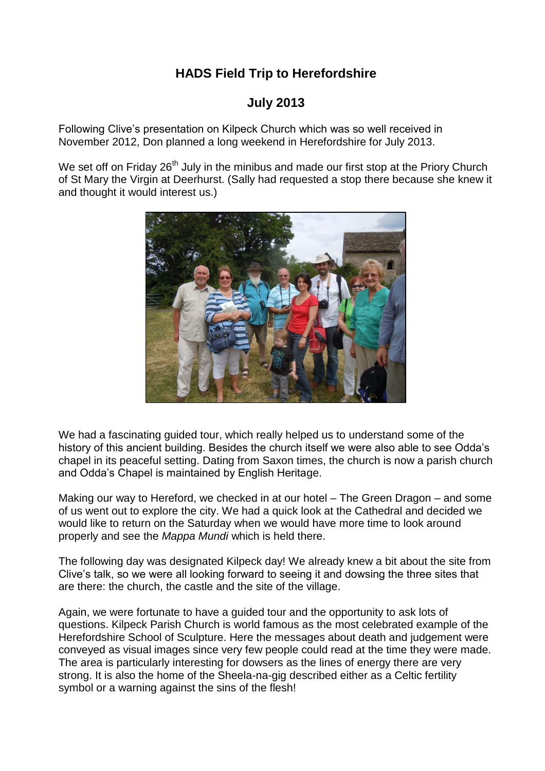## **HADS Field Trip to Herefordshire**

## **July 2013**

Following Clive's presentation on Kilpeck Church which was so well received in November 2012, Don planned a long weekend in Herefordshire for July 2013.

We set off on Friday 26<sup>th</sup> July in the minibus and made our first stop at the Priory Church of St Mary the Virgin at Deerhurst. (Sally had requested a stop there because she knew it and thought it would interest us.)



We had a fascinating guided tour, which really helped us to understand some of the history of this ancient building. Besides the church itself we were also able to see Odda's chapel in its peaceful setting. Dating from Saxon times, the church is now a parish church and Odda's Chapel is maintained by English Heritage.

Making our way to Hereford, we checked in at our hotel – The Green Dragon – and some of us went out to explore the city. We had a quick look at the Cathedral and decided we would like to return on the Saturday when we would have more time to look around properly and see the *Mappa Mundi* which is held there.

The following day was designated Kilpeck day! We already knew a bit about the site from Clive's talk, so we were all looking forward to seeing it and dowsing the three sites that are there: the church, the castle and the site of the village.

Again, we were fortunate to have a guided tour and the opportunity to ask lots of questions. Kilpeck Parish Church is world famous as the most celebrated example of the Herefordshire School of Sculpture. Here the messages about death and judgement were conveyed as visual images since very few people could read at the time they were made. The area is particularly interesting for dowsers as the lines of energy there are very strong. It is also the home of the Sheela-na-gig described either as a Celtic fertility symbol or a warning against the sins of the flesh!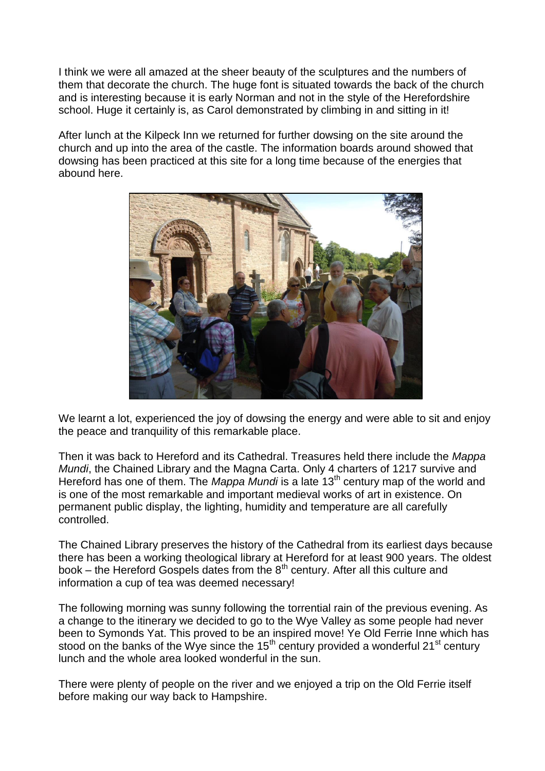I think we were all amazed at the sheer beauty of the sculptures and the numbers of them that decorate the church. The huge font is situated towards the back of the church and is interesting because it is early Norman and not in the style of the Herefordshire school. Huge it certainly is, as Carol demonstrated by climbing in and sitting in it!

After lunch at the Kilpeck Inn we returned for further dowsing on the site around the church and up into the area of the castle. The information boards around showed that dowsing has been practiced at this site for a long time because of the energies that abound here.



We learnt a lot, experienced the joy of dowsing the energy and were able to sit and enjoy the peace and tranquility of this remarkable place.

Then it was back to Hereford and its Cathedral. Treasures held there include the *Mappa Mundi*, the Chained Library and the Magna Carta. Only 4 charters of 1217 survive and Hereford has one of them. The *Mappa Mundi* is a late 13th century map of the world and is one of the most remarkable and important medieval works of art in existence. On permanent public display, the lighting, humidity and temperature are all carefully controlled.

The Chained Library preserves the history of the Cathedral from its earliest days because there has been a working theological library at Hereford for at least 900 years. The oldest book – the Hereford Gospels dates from the  $8<sup>th</sup>$  century. After all this culture and information a cup of tea was deemed necessary!

The following morning was sunny following the torrential rain of the previous evening. As a change to the itinerary we decided to go to the Wye Valley as some people had never been to Symonds Yat. This proved to be an inspired move! Ye Old Ferrie Inne which has stood on the banks of the Wye since the 15<sup>th</sup> century provided a wonderful 21<sup>st</sup> century lunch and the whole area looked wonderful in the sun.

There were plenty of people on the river and we enjoyed a trip on the Old Ferrie itself before making our way back to Hampshire.